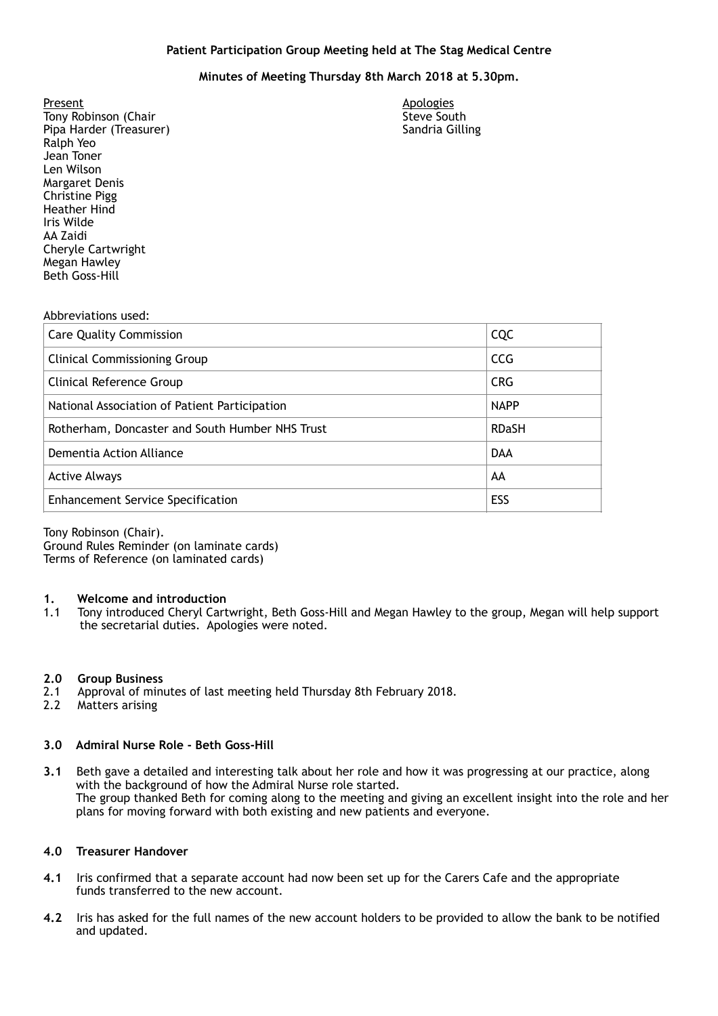# **Minutes of Meeting Thursday 8th March 2018 at 5.30pm.**

Tony Robinson (Chair Steve South Steve South Steve South Steve South Steve South Steve South Steve South Steve Pipa Harder (Treasurer) Sandria Gilling Ralph Yeo **Margaret Denis**  Cheryle Cartwright Megan Hawley Present Apologies<br>
Tony Robinson (Chair Chair Chair Chair Chair Chair Chair Chair Chair Chair Chair Chair Chair Chair Chair Chai<br>
Tony Robinson (Chair Chair Chair Chair Chair Chair Chair Chair Chair Chair Chair Chair Chair Jean Toner Len Wilson Christine Pigg Heather Hind Iris Wilde AA Zaidi Beth Goss-Hill

### Abbreviations used:

| <b>Care Quality Commission</b>                  | CQC          |
|-------------------------------------------------|--------------|
| <b>Clinical Commissioning Group</b>             | <b>CCG</b>   |
| Clinical Reference Group                        | <b>CRG</b>   |
| National Association of Patient Participation   | <b>NAPP</b>  |
| Rotherham, Doncaster and South Humber NHS Trust | <b>RDaSH</b> |
| Dementia Action Alliance                        | <b>DAA</b>   |
| <b>Active Always</b>                            | AA           |
| <b>Enhancement Service Specification</b>        | ESS          |

Tony Robinson (Chair).

 Terms of Reference (on laminated cards) Ground Rules Reminder (on laminate cards)

### **1. Welcome and introduction**

 1.1 Tony introduced Cheryl Cartwright, Beth Goss-Hill and Megan Hawley to the group, Megan will help support the secretarial duties. Apologies were noted.

### **2.0 Group Business**

- 2.1 Approval of minutes of last meeting held Thursday 8th February 2018.
- 2.2 Matters arising

# **3.0 Admiral Nurse Role - Beth Goss-Hill**

 **3.1** Beth gave a detailed and interesting talk about her role and how it was progressing at our practice, along with the background of how the Admiral Nurse role started. The group thanked Beth for coming along to the meeting and giving an excellent insight into the role and her plans for moving forward with both existing and new patients and everyone.

## **4.0 Treasurer Handover**

- **4.1** Iris confirmed that a separate account had now been set up for the Carers Cafe and the appropriate funds transferred to the new account.
- **4.2** Iris has asked for the full names of the new account holders to be provided to allow the bank to be notified and updated.